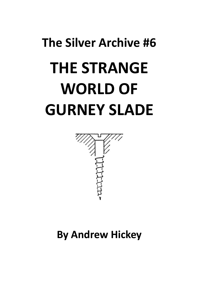# The Silver Archive #6 THE STRANGE WORLD OF GURNEY SLADE



By Andrew Hickey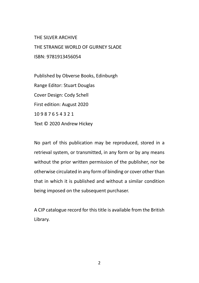THE SILVER ARCHIVE

THE STRANGE WORLD OF GURNEY SLADE ISBN: 9781913456054

Published by Obverse Books, Edinburgh Range Editor: Stuart Douglas Cover Design: Cody Schell First edition: August 2020 10 9 8 7 6 5 4 3 2 1 Text © 2020 Andrew Hickey

No part of this publication may be reproduced, stored in a retrieval system, or transmitted, in any form or by any means without the prior written permission of the publisher, nor be otherwise circulated in any form of binding or cover other than that in which it is published and without a similar condition being imposed on the subsequent purchaser.

A CIP catalogue record for this title is available from the British Library.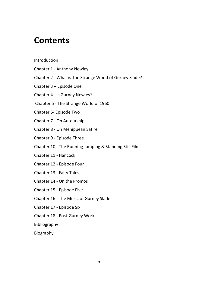#### **Contents**

#### Introduction

- Chapter 1 Anthony Newley
- Chapter 2 What is The Strange World of Gurney Slade?
- Chapter 3 Episode One
- Chapter 4 Is Gurney Newley?
- Chapter 5 The Strange World of 1960
- Chapter 6- Episode Two
- Chapter 7 On Auteurship
- Chapter 8 On Menippean Satire
- Chapter 9 Episode Three
- Chapter 10 The Running Jumping & Standing Still Film
- Chapter 11 Hancock
- Chapter 12 Episode Four
- Chapter 13 Fairy Tales
- Chapter 14 On the Promos
- Chapter 15 Episode Five
- Chapter 16 The Music of Gurney Slade
- Chapter 17 Episode Six
- Chapter 18 Post-Gurney Works
- Bibliography

Biography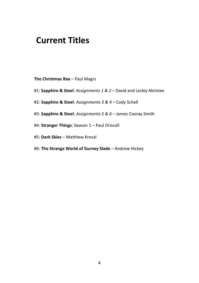#### Current Titles

The Christmas Box – Paul Magrs

- #1: Sapphire & Steel: Assignments 1 & 2 David and Lesley McIntee
- #2: Sapphire & Steel: Assignments 3 & 4 Cody Schell
- #3: Sapphire & Steel: Assignments 5 & 6 James Cooray Smith
- #4: Stranger Things: Season 1 Paul Driscoll
- #5: Dark Skies Matthew Kresal
- #6: The Strange World of Gurney Slade Andrew Hickey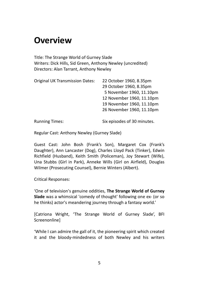### **Overview**

Title: The Strange World of Gurney Slade Writers: Dick Hills, Sid Green, Anthony Newley (uncredited) Directors: Alan Tarrant, Anthony Newley

| Original UK Transmission Dates: | 22 October 1960, 8.35pm   |
|---------------------------------|---------------------------|
|                                 | 29 October 1960, 8.35pm   |
|                                 | 5 November 1960, 11.10pm  |
|                                 | 12 November 1960, 11.10pm |
|                                 | 19 November 1960, 11.10pm |
|                                 | 26 November 1960, 11.10pm |
|                                 |                           |

Running Times: Six episodes of 30 minutes.

Regular Cast: Anthony Newley (Gurney Slade)

Guest Cast: John Bosh (Frank's Son), Margaret Cox (Frank's Daughter), Ann Lancaster (Dog), Charles Lloyd Pack (Tinker), Edwin Richfield (Husband), Keith Smith (Policeman), Joy Stewart (Wife), Una Stubbs (Girl in Park), Anneke Wills (Girl on Airfield), Douglas Wilmer (Prosecuting Counsel), Bernie Winters (Albert).

Critical Responses:

'One of television's genuine oddities, The Strange World of Gurney Slade was a whimsical 'comedy of thought' following one ex- (or so he thinks) actor's meandering journey through a fantasy world.'

[Catriona Wright, 'The Strange World of Gurney Slade', BFI Screenonline]

'While I can admire the gall of it, the pioneering spirit which created it and the bloody-mindedness of both Newley and his writers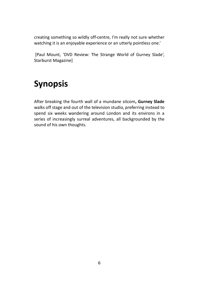creating something so wildly off-centre, I'm really not sure whether watching it is an enjoyable experience or an utterly pointless one.'

 [Paul Mount, 'DVD Review: The Strange World of Gurney Slade', Starburst Magazine]

## Synopsis

After breaking the fourth wall of a mundane sitcom, Gurney Slade walks off stage and out of the television studio, preferring instead to spend six weeks wandering around London and its environs in a series of increasingly surreal adventures, all backgrounded by the sound of his own thoughts.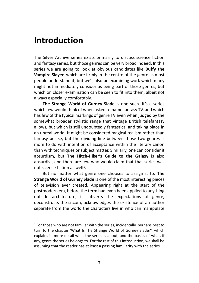#### Introduction

The Silver Archive series exists primarily to discuss science fiction and fantasy series, but those genres can be very broad indeed. In this series we are going to look at obvious candidates like **Buffy the** Vampire Slayer, which are firmly in the centre of the genre as most people understand it, but we'll also be examining work which many might not immediately consider as being part of those genres, but which on closer examination can be seen to fit into them, albeit not always especially comfortably.

The Strange World of Gurney Slade is one such. It's a series which few would think of when asked to name fantasy TV, and which has few of the typical markings of genre TV even when judged by the somewhat broader stylistic range that vintage British telefantasy allows, but which is still undoubtedly fantastical and taking place in an unreal world. It might be considered magical realism rather than fantasy per se, but the dividing line between those two genres is more to do with intention of acceptance within the literary canon than with techniques or subject matter. Similarly, one can consider it absurdism, but The Hitch-Hiker's Guide to the Galaxy is also absurdist, and there are few who would claim that that series was not science fiction as well<sup>1</sup>.

But no matter what genre one chooses to assign it to, The Strange World of Gurney Slade is one of the most interesting pieces of television ever created. Appearing right at the start of the postmodern era, before the term had even been applied to anything outside architecture, it subverts the expectations of genre, deconstructs the sitcom, acknowledges the existence of an author separate from the world the characters live in who can manipulate

<sup>1</sup> For those who are not familiar with the series, incidentally, perhaps best to turn to the chapter 'What Is The Strange World of Gurney Slade?', which explains in more detail what the series is about, and the basics of what, if any, genre the series belongs to. For the rest of this introduction, we shall be assuming that the reader has at least a passing familiarity with the series.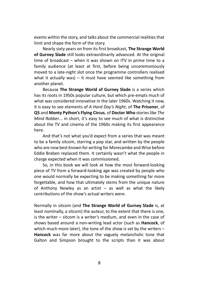events within the story, and talks about the commercial realities that limit and shape the form of the story.

Nearly sixty years on from its first broadcast, The Strange World of Gurney Slade still looks extraordinarily advanced. At the original time of broadcast – when it was shown on ITV in prime time to a family audience (at least at first, before being unceremoniously moved to a late-night slot once the programme controllers realised what it actually was) – it must have seemed like something from another planet.

Because The Strange World of Gurney Slade is a series which has its roots in 1950s popular culture, but which pre-empts much of what was considered innovative in the later 1960s. Watching it now, it is easy to see elements of A Hard Day's Night, of The Prisoner, of Q5 and Monty Python's Flying Circus, of Doctor Who stories like The Mind Robber... in short, it's easy to see much of what is distinctive about the TV and cinema of the 1960s making its first appearance here.

And that's not what you'd expect from a series that was meant to be a family sitcom, starring a pop star, and written by the people who are now best known for writing for Morecambe and Wise before Eddie Braben replaced them. It certainly wasn't what the people in charge expected when it was commissioned.

So, in this book we will look at how the most forward-looking piece of TV from a forward-looking age was created by people who one would normally be expecting to be making something far more forgettable, and how that ultimately stems from the unique nature of Anthony Newley as an artist – as well as what the likely contributions of the show's actual writers were.

Normally in sitcom (and The Strange World of Gurney Slade is, at least nominally, a sitcom) the auteur, to the extent that there is one, is the writer – sitcom is a writer's medium, and even in the case of shows based around a non-writing lead actor (such as Hancock, of which much more later), the tone of the show is set by the writers – Hancock was far more about the vaguely melancholic tone that Galton and Simpson brought to the scripts than it was about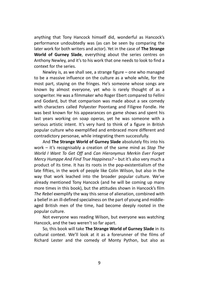anything that Tony Hancock himself did, wonderful as Hancock's performance undoubtedly was (as can be seen by comparing the later work for both writers and actor). Yet in the case of The Strange World of Gurney Slade, everything about the series centres on Anthony Newley, and it's to his work that one needs to look to find a context for the series.

Newley is, as we shall see, a strange figure – one who managed to be a massive influence on the culture as a whole while, for the most part, staying on the fringes. He's someone whose songs are known by almost everyone, yet who is rarely thought of as a songwriter. He was a filmmaker who Roger Ebert compared to Fellini and Godard, but that comparison was made about a sex comedy with characters called Polyester Poontang and Filigree Fondle. He was best known for his appearances on game shows and spent his last years working on soap operas, yet he was someone with a serious artistic intent. It's very hard to think of a figure in British popular culture who exemplified and embraced more different and contradictory personae, while integrating them successfully.

And The Strange World of Gurney Slade absolutely fits into his work – it's recognisably a creation of the same mind as Stop The World I Want To Get Off and Can Hieronymus Merkin Ever Forget Mercy Humppe And Find True Happiness? – but it's also very much a product of its time. It has its roots in the pop-existentialism of the late fifties, in the work of people like Colin Wilson, but also in the way that work leached into the broader popular culture. We've already mentioned Tony Hancock (and he will be coming up many more times in this book), but the attitudes shown in Hancock's film The Rebel exemplify the way this sense of alienation, combined with a belief in an ill-defined specialness on the part of young and middleaged British men of the time, had become deeply rooted in the popular culture.

Not everyone was reading Wilson, but everyone was watching Hancock, and the two weren't so far apart.

So, this book will take The Strange World of Gurney Slade in its cultural context. We'll look at it as a forerunner of the films of Richard Lester and the comedy of Monty Python, but also as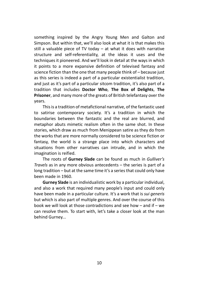something inspired by the Angry Young Men and Galton and Simpson. But within that, we'll also look at what it is that makes this still a valuable piece of TV today – at what it does with narrative structure and self-referentiality, at the ideas it uses and the techniques it pioneered. And we'll look in detail at the ways in which it points to a more expansive definition of televised fantasy and science fiction than the one that many people think of – because just as this series is indeed a part of a particular existentialist tradition, and just as it's part of a particular sitcom tradition, it's also part of a tradition that includes Doctor Who, The Box of Delights, The Prisoner, and many more of the greats of British telefantasy over the years.

This is a tradition of metafictional narrative, of the fantastic used to satirise contemporary society. It's a tradition in which the boundaries between the fantastic and the real are blurred, and metaphor abuts mimetic realism often in the same shot. In these stories, which draw as much from Menippean satire as they do from the works that are more normally considered to be science fiction or fantasy, the world is a strange place into which characters and situations from other narratives can intrude, and in which the imagination is reified.

The roots of Gurney Slade can be found as much in Gulliver's Travels as in any more obvious antecedents – the series is part of a long tradition – but at the same time it's a series that could only have been made in 1960.

Gurney Slade is an individualistic work by a particular individual, and also a work that required many people's input and could only have been made in a particular culture. It's a work that is sui generis but which is also part of multiple genres. And over the course of this book we will look at those contradictions and see how – and if – we can resolve them. To start with, let's take a closer look at the man behind Gurney...